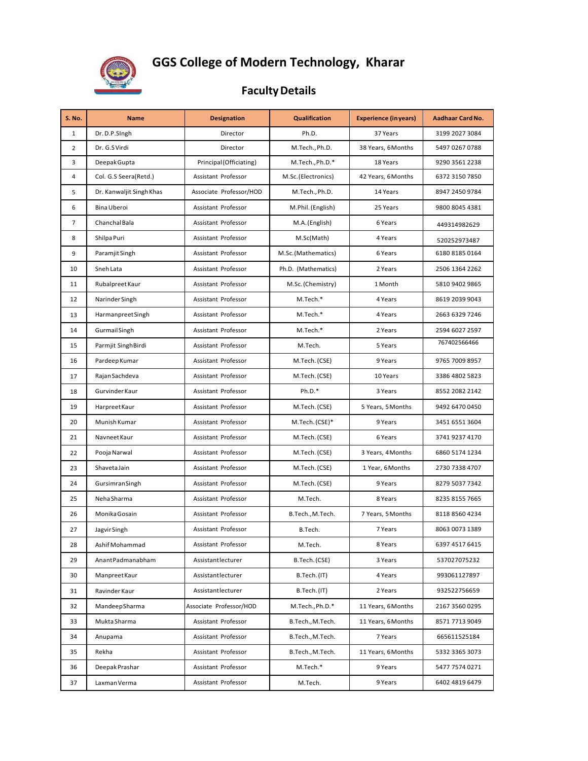

## **GGS College of Modern Technology, Kharar**

## **FacultyDetails**

| <b>S. No.</b>  | <b>Name</b>              | <b>Designation</b>      | <b>Qualification</b> | <b>Experience (in years)</b> | Aadhaar Card No. |
|----------------|--------------------------|-------------------------|----------------------|------------------------------|------------------|
| $\mathbf{1}$   | Dr. D.P.SIngh            | Director                | Ph.D.                | 37 Years                     | 3199 2027 3084   |
| $\overline{2}$ | Dr. G.SVirdi             | Director                | M.Tech., Ph.D.       | 38 Years, 6 Months           | 5497 0267 0788   |
| 3              | Deepak Gupta             | Principal (Officiating) | M.Tech., Ph.D.*      | 18 Years                     | 9290 3561 2238   |
| 4              | Col. G.S Seera(Retd.)    | Assistant Professor     | M.Sc. (Electronics)  | 42 Years, 6 Months           | 6372 3150 7850   |
| 5              | Dr. Kanwaljit Singh Khas | Associate Professor/HOD | M.Tech., Ph.D.       | 14 Years                     | 8947 2450 9784   |
| 6              | Bina Uberoi              | Assistant Professor     | M.Phil. (English)    | 25 Years                     | 9800 8045 4381   |
| $\overline{7}$ | Chanchal Bala            | Assistant Professor     | M.A. (English)       | 6 Years                      | 449314982629     |
| 8              | Shilpa Puri              | Assistant Professor     | M.Sc(Math)           | 4 Years                      | 520252973487     |
| 9              | Paramjit Singh           | Assistant Professor     | M.Sc.(Mathematics)   | 6 Years                      | 6180 8185 0164   |
| 10             | Sneh Lata                | Assistant Professor     | Ph.D. (Mathematics)  | 2 Years                      | 2506 1364 2262   |
| 11             | Rubalpreet Kaur          | Assistant Professor     | M.Sc. (Chemistry)    | 1 Month                      | 5810 9402 9865   |
| 12             | Narinder Singh           | Assistant Professor     | M.Tech.*             | 4 Years                      | 8619 2039 9043   |
| 13             | Harmanpreet Singh        | Assistant Professor     | M.Tech.*             | 4 Years                      | 2663 6329 7246   |
| 14             | Gurmail Singh            | Assistant Professor     | M.Tech.*             | 2 Years                      | 2594 6027 2597   |
| 15             | Parmjit SinghBirdi       | Assistant Professor     | M.Tech.              | 5 Years                      | 767402566466     |
| 16             | Pardeep Kumar            | Assistant Professor     | M.Tech. (CSE)        | 9 Years                      | 9765 7009 8957   |
| 17             | Rajan Sachdeva           | Assistant Professor     | M.Tech. (CSE)        | 10 Years                     | 3386 4802 5823   |
| 18             | Gurvinder Kaur           | Assistant Professor     | $Ph.D.*$             | 3 Years                      | 8552 2082 2142   |
| 19             | Harpreet Kaur            | Assistant Professor     | M.Tech. (CSE)        | 5 Years, 5 Months            | 9492 6470 0450   |
| 20             | Munish Kumar             | Assistant Professor     | M.Tech. (CSE)*       | 9 Years                      | 3451 6551 3604   |
| 21             | Navneet Kaur             | Assistant Professor     | M.Tech. (CSE)        | 6 Years                      | 3741 9237 4170   |
| 22             | Pooja Narwal             | Assistant Professor     | M.Tech. (CSE)        | 3 Years, 4 Months            | 6860 5174 1234   |
| 23             | Shaveta Jain             | Assistant Professor     | M.Tech. (CSE)        | 1 Year, 6 Months             | 2730 7338 4707   |
| 24             | GursimranSingh           | Assistant Professor     | M.Tech. (CSE)        | 9 Years                      | 8279 5037 7342   |
| 25             | Neha Sharma              | Assistant Professor     | M.Tech.              | 8 Years                      | 8235 8155 7665   |
| 26             | Monika Gosain            | Assistant Professor     | B.Tech., M.Tech.     | 7 Years, 5 Months            | 8118 8560 4234   |
| 27             | Jagvir Singh             | Assistant Professor     | B.Tech.              | 7 Years                      | 8063 0073 1389   |
| 28             | Ashif Mohammad           | Assistant Professor     | M.Tech.              | 8 Years                      | 6397 4517 6415   |
| 29             | AnantPadmanabham         | Assistantlecturer       | B.Tech. (CSE)        | 3 Years                      | 537027075232     |
| 30             | Manpreet Kaur            | Assistantlecturer       | B.Tech. (IT)         | 4 Years                      | 993061127897     |
| 31             | Ravinder Kaur            | Assistantlecturer       | B.Tech. (IT)         | 2 Years                      | 932522756659     |
| 32             | MandeepSharma            | Associate Professor/HOD | M.Tech., Ph.D.*      | 11 Years, 6 Months           | 2167 3560 0295   |
| 33             | Mukta Sharma             | Assistant Professor     | B.Tech., M.Tech.     | 11 Years, 6 Months           | 8571 7713 9049   |
| 34             | Anupama                  | Assistant Professor     | B.Tech., M.Tech.     | 7 Years                      | 665611525184     |
| 35             | Rekha                    | Assistant Professor     | B.Tech., M.Tech.     | 11 Years, 6 Months           | 5332 3365 3073   |
| 36             | Deepak Prashar           | Assistant Professor     | M.Tech.*             | 9 Years                      | 5477 7574 0271   |
| 37             | Laxman Verma             | Assistant Professor     | M.Tech.              | 9 Years                      | 6402 4819 6479   |